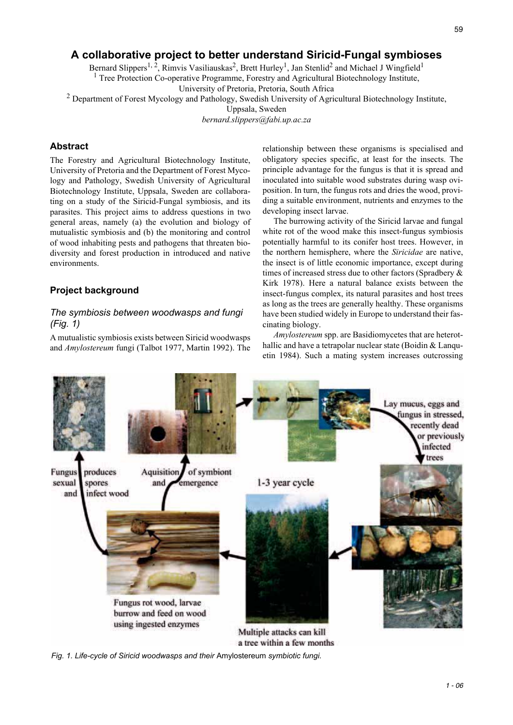# **A collaborative project to better understand Siricid-Fungal symbioses**

Bernard Slippers<sup>1, 2</sup>, Rimvis Vasiliauskas<sup>2</sup>, Brett Hurley<sup>1</sup>, Jan Stenlid<sup>2</sup> and Michael J Wingfield<sup>1</sup>

<sup>1</sup> Tree Protection Co-operative Programme, Forestry and Agricultural Biotechnology Institute,

University of Pretoria, Pretoria, South Africa

<sup>2</sup> Department of Forest Mycology and Pathology, Swedish University of Agricultural Biotechnology Institute,

Uppsala, Sweden

*bernard.slippers@fabi.up.ac.za*

## **Abstract**

The Forestry and Agricultural Biotechnology Institute, University of Pretoria and the Department of Forest Mycology and Pathology, Swedish University of Agricultural Biotechnology Institute, Uppsala, Sweden are collaborating on a study of the Siricid-Fungal symbiosis, and its parasites. This project aims to address questions in two general areas, namely (a) the evolution and biology of mutualistic symbiosis and (b) the monitoring and control of wood inhabiting pests and pathogens that threaten biodiversity and forest production in introduced and native environments.

### **Project background**

## *The symbiosis between woodwasps and fungi (Fig. 1)*

A mutualistic symbiosis exists between Siricid woodwasps and *Amylostereum* fungi (Talbot 1977, Martin 1992). The relationship between these organisms is specialised and obligatory species specific, at least for the insects. The principle advantage for the fungus is that it is spread and inoculated into suitable wood substrates during wasp oviposition. In turn, the fungus rots and dries the wood, providing a suitable environment, nutrients and enzymes to the developing insect larvae.

The burrowing activity of the Siricid larvae and fungal white rot of the wood make this insect-fungus symbiosis potentially harmful to its conifer host trees. However, in the northern hemisphere, where the *Siricidae* are native, the insect is of little economic importance, except during times of increased stress due to other factors (Spradbery & Kirk 1978). Here a natural balance exists between the insect-fungus complex, its natural parasites and host trees as long as the trees are generally healthy. These organisms have been studied widely in Europe to understand their fascinating biology.

*Amylostereum* spp. are Basidiomycetes that are heterothallic and have a tetrapolar nuclear state (Boidin & Languetin 1984). Such a mating system increases outcrossing



Multiple attacks can kill a tree within a few months

*Fig. 1. Life-cycle of Siricid woodwasps and their* Amylostereum *symbiotic fungi.*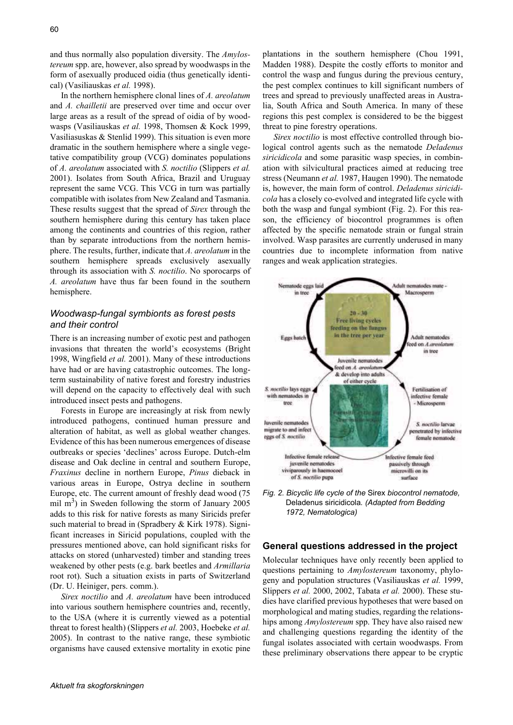and thus normally also population diversity. The *Amylostereum* spp. are, however, also spread by woodwasps in the form of asexually produced oidia (thus genetically identical) (Vasiliauskas *et al.* 1998).

In the northern hemisphere clonal lines of *A. areolatum* and *A. chailletii* are preserved over time and occur over large areas as a result of the spread of oidia of by woodwasps (Vasiliauskas *et al.* 1998, Thomsen & Kock 1999, Vasiliasuskas & Stenlid 1999). This situation is even more dramatic in the southern hemisphere where a single vegetative compatibility group (VCG) dominates populations of *A. areolatum* associated with *S. noctilio* (Slippers *et al.* 2001). Isolates from South Africa, Brazil and Uruguay represent the same VCG. This VCG in turn was partially compatible with isolates from New Zealand and Tasmania. These results suggest that the spread of *Sirex* through the southern hemisphere during this century has taken place among the continents and countries of this region, rather than by separate introductions from the northern hemisphere. The results, further, indicate that *A. areolatum* in the southern hemisphere spreads exclusively asexually through its association with *S. noctilio*. No sporocarps of *A. areolatum* have thus far been found in the southern hemisphere.

### *Woodwasp-fungal symbionts as forest pests and their control*

There is an increasing number of exotic pest and pathogen invasions that threaten the world's ecosystems (Bright 1998, Wingfield *et al.* 2001). Many of these introductions have had or are having catastrophic outcomes. The longterm sustainability of native forest and forestry industries will depend on the capacity to effectively deal with such introduced insect pests and pathogens.

Forests in Europe are increasingly at risk from newly introduced pathogens, continued human pressure and alteration of habitat, as well as global weather changes. Evidence of this has been numerous emergences of disease outbreaks or species 'declines' across Europe. Dutch-elm disease and Oak decline in central and southern Europe, *Fraxinus* decline in northern Europe, *Pinus* dieback in various areas in Europe, Ostrya decline in southern Europe, etc. The current amount of freshly dead wood (75 mil  $m<sup>3</sup>$ ) in Sweden following the storm of January 2005 adds to this risk for native forests as many Siricids prefer such material to bread in (Spradbery & Kirk 1978). Significant increases in Siricid populations, coupled with the pressures mentioned above, can hold significant risks for attacks on stored (unharvested) timber and standing trees weakened by other pests (e.g. bark beetles and *Armillaria* root rot). Such a situation exists in parts of Switzerland (Dr. U. Heiniger, pers. comm.).

*Sirex noctilio* and *A. areolatum* have been introduced into various southern hemisphere countries and, recently, to the USA (where it is currently viewed as a potential threat to forest health) (Slippers *et al.* 2003, Hoebeke *et al.* 2005). In contrast to the native range, these symbiotic organisms have caused extensive mortality in exotic pine

*Sirex noctilio* is most effective controlled through biological control agents such as the nematode *Deladenus siricidicola* and some parasitic wasp species, in combination with silvicultural practices aimed at reducing tree stress (Neumann *et al.* 1987, Haugen 1990). The nematode is, however, the main form of control. *Deladenus siricidicola* has a closely co-evolved and integrated life cycle with both the wasp and fungal symbiont (Fig. 2). For this reason, the efficiency of biocontrol programmes is often affected by the specific nematode strain or fungal strain involved. Wasp parasites are currently underused in many countries due to incomplete information from native ranges and weak application strategies.



*Fig. 2. Bicyclic life cycle of the* Sirex *biocontrol nematode,*  Deladenus siricidicola*. (Adapted from Bedding 1972, Nematologica)*

### **General questions addressed in the project**

Molecular techniques have only recently been applied to questions pertaining to *Amylostereum* taxonomy, phylogeny and population structures (Vasiliauskas *et al.* 1999, Slippers *et al.* 2000, 2002, Tabata *et al.* 2000). These studies have clarified previous hypotheses that were based on morphological and mating studies, regarding the relationships among *Amylostereum* spp. They have also raised new and challenging questions regarding the identity of the fungal isolates associated with certain woodwasps. From these preliminary observations there appear to be cryptic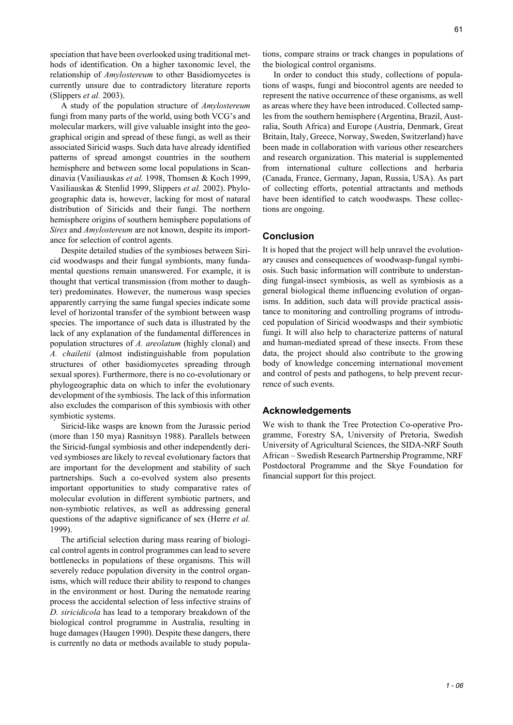speciation that have been overlooked using traditional methods of identification. On a higher taxonomic level, the relationship of *Amylostereum* to other Basidiomycetes is currently unsure due to contradictory literature reports (Slippers *et al.* 2003).

A study of the population structure of *Amylostereum* fungi from many parts of the world, using both VCG's and molecular markers, will give valuable insight into the geographical origin and spread of these fungi, as well as their associated Siricid wasps. Such data have already identified patterns of spread amongst countries in the southern hemisphere and between some local populations in Scandinavia (Vasiliauskas *et al.* 1998, Thomsen & Koch 1999, Vasiliauskas & Stenlid 1999, Slippers *et al.* 2002). Phylogeographic data is, however, lacking for most of natural distribution of Siricids and their fungi. The northern hemisphere origins of southern hemisphere populations of *Sirex* and *Amylostereum* are not known, despite its importance for selection of control agents.

Despite detailed studies of the symbioses between Siricid woodwasps and their fungal symbionts, many fundamental questions remain unanswered. For example, it is thought that vertical transmission (from mother to daughter) predominates. However, the numerous wasp species apparently carrying the same fungal species indicate some level of horizontal transfer of the symbiont between wasp species. The importance of such data is illustrated by the lack of any explanation of the fundamental differences in population structures of *A. areolatum* (highly clonal) and *A. chailetii* (almost indistinguishable from population structures of other basidiomycetes spreading through sexual spores). Furthermore, there is no co-evolutionary or phylogeographic data on which to infer the evolutionary development of the symbiosis. The lack of this information also excludes the comparison of this symbiosis with other symbiotic systems.

Siricid-like wasps are known from the Jurassic period (more than 150 mya) Rasnitsyn 1988). Parallels between the Siricid-fungal symbiosis and other independently derived symbioses are likely to reveal evolutionary factors that are important for the development and stability of such partnerships. Such a co-evolved system also presents important opportunities to study comparative rates of molecular evolution in different symbiotic partners, and non-symbiotic relatives, as well as addressing general questions of the adaptive significance of sex (Herre *et al.* 1999).

The artificial selection during mass rearing of biological control agents in control programmes can lead to severe bottlenecks in populations of these organisms. This will severely reduce population diversity in the control organisms, which will reduce their ability to respond to changes in the environment or host. During the nematode rearing process the accidental selection of less infective strains of *D. siricidicola* has lead to a temporary breakdown of the biological control programme in Australia, resulting in huge damages (Haugen 1990). Despite these dangers, there is currently no data or methods available to study popula-

tions, compare strains or track changes in populations of the biological control organisms.

In order to conduct this study, collections of populations of wasps, fungi and biocontrol agents are needed to represent the native occurrence of these organisms, as well as areas where they have been introduced. Collected samples from the southern hemisphere (Argentina, Brazil, Australia, South Africa) and Europe (Austria, Denmark, Great Britain, Italy, Greece, Norway, Sweden, Switzerland) have been made in collaboration with various other researchers and research organization. This material is supplemented from international culture collections and herbaria (Canada, France, Germany, Japan, Russia, USA). As part of collecting efforts, potential attractants and methods have been identified to catch woodwasps. These collections are ongoing.

#### **Conclusion**

It is hoped that the project will help unravel the evolutionary causes and consequences of woodwasp-fungal symbiosis. Such basic information will contribute to understanding fungal-insect symbiosis, as well as symbiosis as a general biological theme influencing evolution of organisms. In addition, such data will provide practical assistance to monitoring and controlling programs of introduced population of Siricid woodwasps and their symbiotic fungi. It will also help to characterize patterns of natural and human-mediated spread of these insects. From these data, the project should also contribute to the growing body of knowledge concerning international movement and control of pests and pathogens, to help prevent recurrence of such events.

#### **Acknowledgements**

We wish to thank the Tree Protection Co-operative Programme, Forestry SA, University of Pretoria, Swedish University of Agricultural Sciences, the SIDA-NRF South African – Swedish Research Partnership Programme, NRF Postdoctoral Programme and the Skye Foundation for financial support for this project.